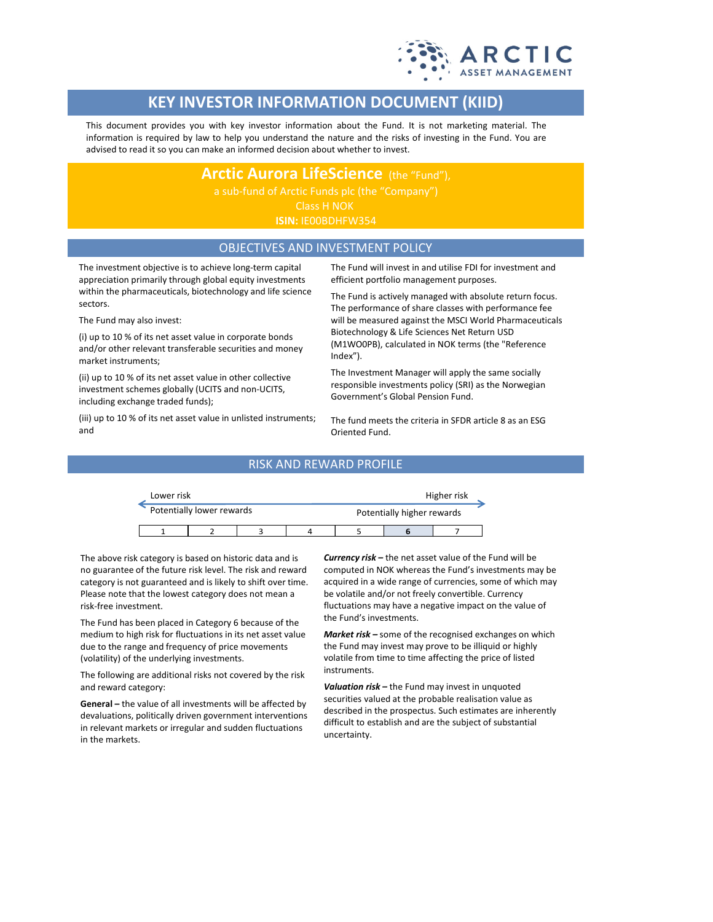

# **KEY INVESTOR INFORMATION DOCUMENT (KIID)**

This document provides you with key investor information about the Fund. It is not marketing material. The information is required by law to help you understand the nature and the risks of investing in the Fund. You are advised to read it so you can make an informed decision about whether to invest.

**Arctic Aurora LifeScience** (the "Fund"),

Class H NOK

## OBJECTIVES AND INVESTMENT POLICY

The investment objective is to achieve long-term capital appreciation primarily through global equity investments within the pharmaceuticals, biotechnology and life science sectors.

The Fund may also invest:

(i) up to 10 % of its net asset value in corporate bonds and/or other relevant transferable securities and money market instruments;

(ii) up to 10 % of its net asset value in other collective investment schemes globally (UCITS and non-UCITS, including exchange traded funds);

(iii) up to 10 % of its net asset value in unlisted instruments; and

The Fund will invest in and utilise FDI for investment and efficient portfolio management purposes.

The Fund is actively managed with absolute return focus. The performance of share classes with performance fee will be measured against the MSCI World Pharmaceuticals Biotechnology & Life Sciences Net Return USD (M1WO0PB), calculated in NOK terms (the "Reference Index").

The Investment Manager will apply the same socially responsible investments policy (SRI) as the Norwegian Government's Global Pension Fund.

The fund meets the criteria in SFDR article 8 as an ESG Oriented Fund.

### RISK AND REWARD PROFILE

| Lower risk |                           |  |  |                            | Higher risk |  |  |
|------------|---------------------------|--|--|----------------------------|-------------|--|--|
|            | Potentially lower rewards |  |  | Potentially higher rewards |             |  |  |
|            |                           |  |  |                            |             |  |  |

The above risk category is based on historic data and is no guarantee of the future risk level. The risk and reward category is not guaranteed and is likely to shift over time. Please note that the lowest category does not mean a risk-free investment.

The Fund has been placed in Category 6 because of the medium to high risk for fluctuations in its net asset value due to the range and frequency of price movements (volatility) of the underlying investments.

The following are additional risks not covered by the risk and reward category:

**General –** the value of all investments will be affected by devaluations, politically driven government interventions in relevant markets or irregular and sudden fluctuations in the markets.

*Currency risk –* the net asset value of the Fund will be computed in NOK whereas the Fund's investments may be acquired in a wide range of currencies, some of which may be volatile and/or not freely convertible. Currency fluctuations may have a negative impact on the value of the Fund's investments.

*Market risk –* some of the recognised exchanges on which the Fund may invest may prove to be illiquid or highly volatile from time to time affecting the price of listed instruments.

*Valuation risk –* the Fund may invest in unquoted securities valued at the probable realisation value as described in the prospectus. Such estimates are inherently difficult to establish and are the subject of substantial uncertainty.